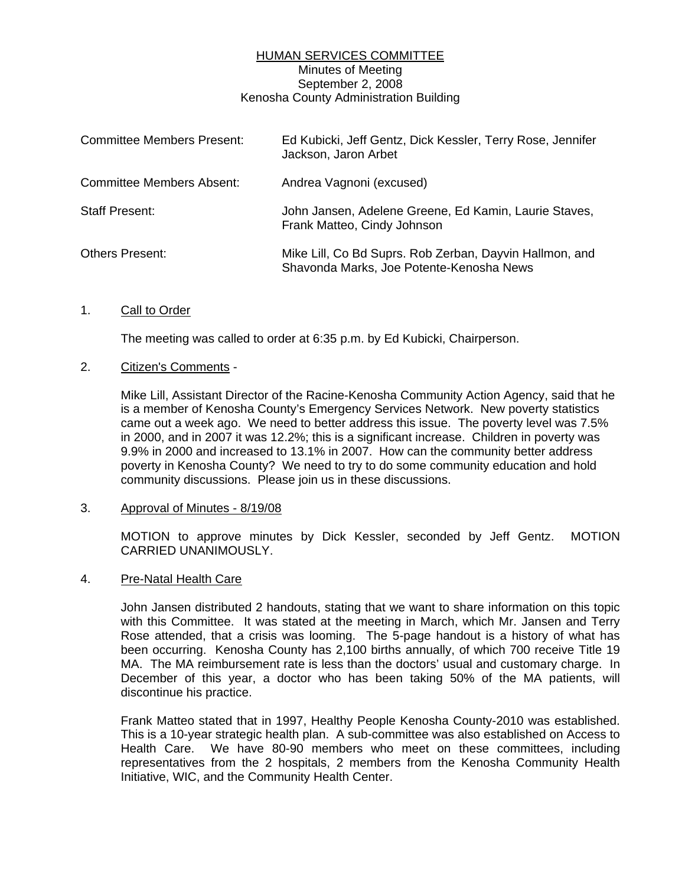# HUMAN SERVICES COMMITTEE Minutes of Meeting September 2, 2008 Kenosha County Administration Building

| <b>Committee Members Present:</b> | Ed Kubicki, Jeff Gentz, Dick Kessler, Terry Rose, Jennifer<br>Jackson, Jaron Arbet                  |
|-----------------------------------|-----------------------------------------------------------------------------------------------------|
| <b>Committee Members Absent:</b>  | Andrea Vagnoni (excused)                                                                            |
| <b>Staff Present:</b>             | John Jansen, Adelene Greene, Ed Kamin, Laurie Staves,<br>Frank Matteo, Cindy Johnson                |
| <b>Others Present:</b>            | Mike Lill, Co Bd Suprs. Rob Zerban, Dayvin Hallmon, and<br>Shavonda Marks, Joe Potente-Kenosha News |

## 1. Call to Order

The meeting was called to order at 6:35 p.m. by Ed Kubicki, Chairperson.

### 2. Citizen's Comments -

 Mike Lill, Assistant Director of the Racine-Kenosha Community Action Agency, said that he is a member of Kenosha County's Emergency Services Network. New poverty statistics came out a week ago. We need to better address this issue. The poverty level was 7.5% in 2000, and in 2007 it was 12.2%; this is a significant increase. Children in poverty was 9.9% in 2000 and increased to 13.1% in 2007. How can the community better address poverty in Kenosha County? We need to try to do some community education and hold community discussions. Please join us in these discussions.

### 3. Approval of Minutes - 8/19/08

 MOTION to approve minutes by Dick Kessler, seconded by Jeff Gentz. MOTION CARRIED UNANIMOUSLY.

#### 4. Pre-Natal Health Care

 John Jansen distributed 2 handouts, stating that we want to share information on this topic with this Committee. It was stated at the meeting in March, which Mr. Jansen and Terry Rose attended, that a crisis was looming. The 5-page handout is a history of what has been occurring. Kenosha County has 2,100 births annually, of which 700 receive Title 19 MA. The MA reimbursement rate is less than the doctors' usual and customary charge. In December of this year, a doctor who has been taking 50% of the MA patients, will discontinue his practice.

 Frank Matteo stated that in 1997, Healthy People Kenosha County-2010 was established. This is a 10-year strategic health plan. A sub-committee was also established on Access to Health Care. We have 80-90 members who meet on these committees, including representatives from the 2 hospitals, 2 members from the Kenosha Community Health Initiative, WIC, and the Community Health Center.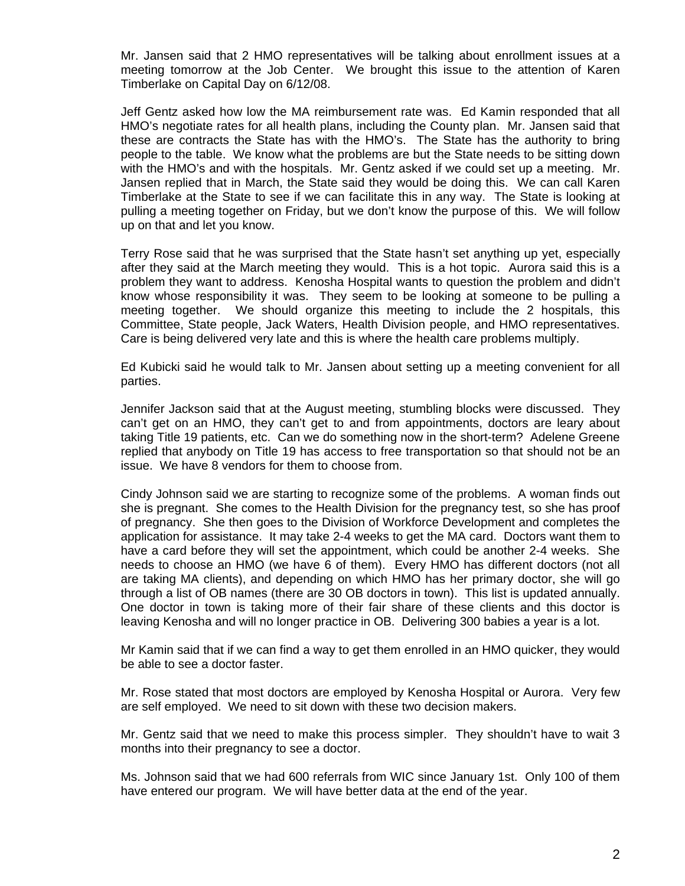Mr. Jansen said that 2 HMO representatives will be talking about enrollment issues at a meeting tomorrow at the Job Center. We brought this issue to the attention of Karen Timberlake on Capital Day on 6/12/08.

 Jeff Gentz asked how low the MA reimbursement rate was. Ed Kamin responded that all HMO's negotiate rates for all health plans, including the County plan. Mr. Jansen said that these are contracts the State has with the HMO's. The State has the authority to bring people to the table. We know what the problems are but the State needs to be sitting down with the HMO's and with the hospitals. Mr. Gentz asked if we could set up a meeting. Mr. Jansen replied that in March, the State said they would be doing this. We can call Karen Timberlake at the State to see if we can facilitate this in any way. The State is looking at pulling a meeting together on Friday, but we don't know the purpose of this. We will follow up on that and let you know.

 Terry Rose said that he was surprised that the State hasn't set anything up yet, especially after they said at the March meeting they would. This is a hot topic. Aurora said this is a problem they want to address. Kenosha Hospital wants to question the problem and didn't know whose responsibility it was. They seem to be looking at someone to be pulling a meeting together. We should organize this meeting to include the 2 hospitals, this Committee, State people, Jack Waters, Health Division people, and HMO representatives. Care is being delivered very late and this is where the health care problems multiply.

 Ed Kubicki said he would talk to Mr. Jansen about setting up a meeting convenient for all parties.

 Jennifer Jackson said that at the August meeting, stumbling blocks were discussed. They can't get on an HMO, they can't get to and from appointments, doctors are leary about taking Title 19 patients, etc. Can we do something now in the short-term? Adelene Greene replied that anybody on Title 19 has access to free transportation so that should not be an issue. We have 8 vendors for them to choose from.

 Cindy Johnson said we are starting to recognize some of the problems. A woman finds out she is pregnant. She comes to the Health Division for the pregnancy test, so she has proof of pregnancy. She then goes to the Division of Workforce Development and completes the application for assistance. It may take 2-4 weeks to get the MA card. Doctors want them to have a card before they will set the appointment, which could be another 2-4 weeks. She needs to choose an HMO (we have 6 of them). Every HMO has different doctors (not all are taking MA clients), and depending on which HMO has her primary doctor, she will go through a list of OB names (there are 30 OB doctors in town). This list is updated annually. One doctor in town is taking more of their fair share of these clients and this doctor is leaving Kenosha and will no longer practice in OB. Delivering 300 babies a year is a lot.

 Mr Kamin said that if we can find a way to get them enrolled in an HMO quicker, they would be able to see a doctor faster.

 Mr. Rose stated that most doctors are employed by Kenosha Hospital or Aurora. Very few are self employed. We need to sit down with these two decision makers.

 Mr. Gentz said that we need to make this process simpler. They shouldn't have to wait 3 months into their pregnancy to see a doctor.

 Ms. Johnson said that we had 600 referrals from WIC since January 1st. Only 100 of them have entered our program. We will have better data at the end of the year.